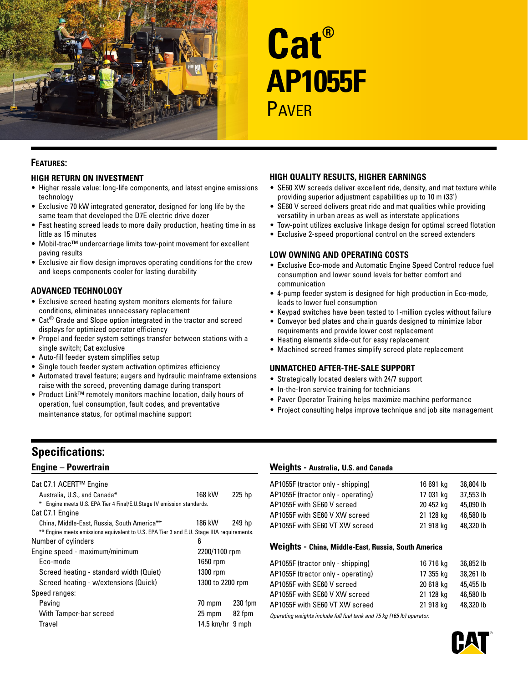

# **Cat® AP1055F PAVFR**

## **Features:**

## **High Return on Investment**

- Higher resale value: long-life components, and latest engine emissions technology
- Exclusive 70 kW integrated generator, designed for long life by the same team that developed the D7E electric drive dozer
- Fast heating screed leads to more daily production, heating time in as little as 15 minutes
- Mobil-trac™ undercarriage limits tow-point movement for excellent paving results
- Exclusive air flow design improves operating conditions for the crew and keeps components cooler for lasting durability

## **Advanced Technology**

- Exclusive screed heating system monitors elements for failure conditions, eliminates unnecessary replacement
- Cat<sup>®</sup> Grade and Slope option integrated in the tractor and screed displays for optimized operator efficiency
- Propel and feeder system settings transfer between stations with a single switch; Cat exclusive
- Auto-fill feeder system simplifies setup
- Single touch feeder system activation optimizes efficiency
- Automated travel feature; augers and hydraulic mainframe extensions raise with the screed, preventing damage during transport
- Product Link™ remotely monitors machine location, daily hours of operation, fuel consumption, fault codes, and preventative maintenance status, for optimal machine support

## **High Quality Results, Higher Earnings**

- SE60 XW screeds deliver excellent ride, density, and mat texture while providing superior adjustment capabilities up to 10 m (33')
- SE60 V screed delivers great ride and mat qualities while providing versatility in urban areas as well as interstate applications
- Tow-point utilizes exclusive linkage design for optimal screed flotation
- Exclusive 2-speed proportional control on the screed extenders

#### **Low Owning and Operating Costs**

- Exclusive Eco-mode and Automatic Engine Speed Control reduce fuel consumption and lower sound levels for better comfort and communication
- 4-pump feeder system is designed for high production in Eco-mode, leads to lower fuel consumption
- Keypad switches have been tested to 1-million cycles without failure
- Conveyor bed plates and chain guards designed to minimize labor requirements and provide lower cost replacement
- Heating elements slide-out for easy replacement
	- Machined screed frames simplify screed plate replacement

#### **Unmatched After-the-Sale Support**

- Strategically located dealers with 24/7 support
- In-the-Iron service training for technicians
- Paver Operator Training helps maximize machine performance
- Project consulting helps improve technique and job site management

# **Specifications:**

## **Engine – Powertrain**

| Cat C7.1 ACERT™ Engine                                                                    |                      |         |
|-------------------------------------------------------------------------------------------|----------------------|---------|
| Australia, U.S., and Canada*                                                              | 168 kW               | 225 hp  |
| * Engine meets U.S. EPA Tier 4 Final/E.U.Stage IV emission standards.                     |                      |         |
| Cat C7.1 Engine                                                                           |                      |         |
| China, Middle-East, Russia, South America**                                               | 186 kW               | 249 hp  |
| ** Engine meets emissions equivalent to U.S. EPA Tier 3 and E.U. Stage IIIA requirements. |                      |         |
| Number of cylinders                                                                       | 6                    |         |
| Engine speed - maximum/minimum                                                            | 2200/1100 rpm        |         |
| Fco-mode                                                                                  | 1650 rpm             |         |
| Screed heating - standard width (Quiet)                                                   | 1300 rpm             |         |
| Screed heating - w/extensions (Quick)                                                     | 1300 to 2200 rpm     |         |
| Speed ranges:                                                                             |                      |         |
| Paving                                                                                    | 70 mpm               | 230 fpm |
| With Tamper-bar screed                                                                    | 25 mpm               | 82 fpm  |
| Travel                                                                                    | $14.5$ km/hr $9$ mph |         |

## **Weights - Australia, U.S. and Canada**

| AP1055F (tractor only - shipping)                                     | 16 691 kg | 36,804 lb |  |  |
|-----------------------------------------------------------------------|-----------|-----------|--|--|
| AP1055F (tractor only - operating)                                    | 17 031 kg | 37,553 lb |  |  |
| AP1055F with SE60 V screed                                            | 20 452 kg | 45,090 lb |  |  |
| AP1055F with SF60 V XW screed                                         | 21 128 kg | 46,580 lb |  |  |
| AP1055F with SF60 VT XW screed                                        | 21 918 kg | 48,320 lb |  |  |
| Weights - China, Middle-East, Russia, South America                   |           |           |  |  |
| AP1055F (tractor only - shipping)                                     | 16 716 kg | 36,852 lb |  |  |
| AP1055F (tractor only - operating)                                    | 17 355 kg | 38,261 lb |  |  |
| AP1055F with SF60 V screed                                            | 20 618 kg | 45,455 lb |  |  |
| AP1055F with SE60 V XW screed                                         | 21 128 kg | 46,580 lb |  |  |
| AP1055F with SF60 VT XW screed                                        | 21 918 kg | 48,320 lb |  |  |
| Operating weights include full fuel tank and 75 kg (165 lb) operator. |           |           |  |  |